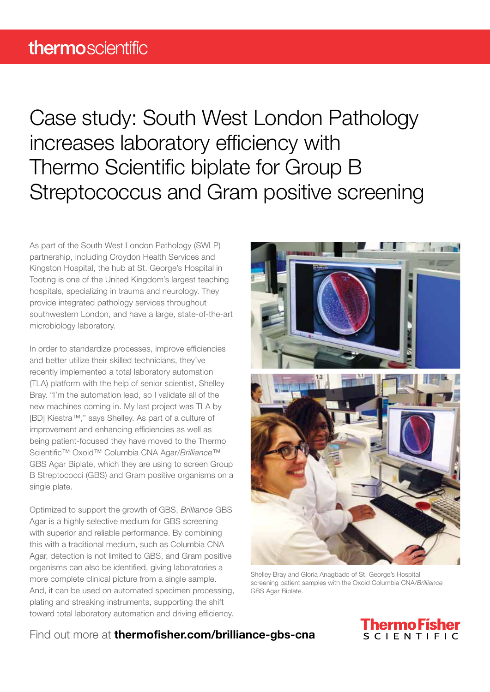Case study: South West London Pathology increases laboratory efficiency with Thermo Scientific biplate for Group B Streptococcus and Gram positive screening

As part of the South West London Pathology (SWLP) partnership, including Croydon Health Services and Kingston Hospital, the hub at St. George's Hospital in Tooting is one of the United Kingdom's largest teaching hospitals, specializing in trauma and neurology. They provide integrated pathology services throughout southwestern London, and have a large, state-of-the-art microbiology laboratory.

In order to standardize processes, improve efficiencies and better utilize their skilled technicians, they've recently implemented a total laboratory automation (TLA) platform with the help of senior scientist, Shelley Bray. "I'm the automation lead, so I validate all of the new machines coming in. My last project was TLA by [BD] Kiestra™," says Shelley. As part of a culture of improvement and enhancing efficiencies as well as being patient-focused they have moved to the Thermo Scientific™ Oxoid™ Columbia CNA Agar/*Brilliance*™ GBS Agar Biplate, which they are using to screen Group B Streptococci (GBS) and Gram positive organisms on a single plate.

Optimized to support the growth of GBS, *Brilliance* GBS Agar is a highly selective medium for GBS screening with superior and reliable performance. By combining this with a traditional medium, such as Columbia CNA Agar, detection is not limited to GBS, and Gram positive organisms can also be identified, giving laboratories a more complete clinical picture from a single sample. And, it can be used on automated specimen processing, plating and streaking instruments, supporting the shift toward total laboratory automation and driving efficiency.



Shelley Bray and Gloria Anagbado of St. George's Hospital screening patient samples with the Oxoid Columbia CNA/*Brilliance* GBS Agar Biplate.

## Find out more at **thermofisher.com/brilliance-abs-cna**

## hermo Fish SCIENTIFIC